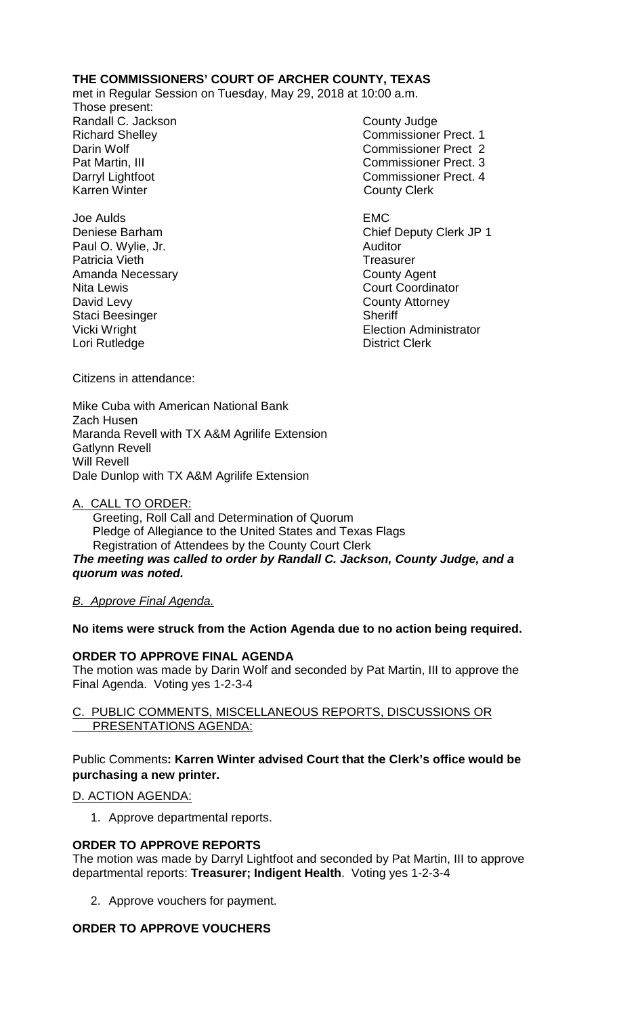# **THE COMMISSIONERS' COURT OF ARCHER COUNTY, TEXAS**

met in Regular Session on Tuesday, May 29, 2018 at 10:00 a.m.

Those present: Randall C. Jackson County Judge

Joe Aulds EMC Paul O. Wylie, Jr. **Auditor** Auditor Patricia Vieth Treasurer Amanda Necessary **County Agent** County Agent Nita Lewis **Nita Lewis** Court Coordinator David Levy **County Attorney** Staci Beesinger Nicki Sheriff<br>
Vicki Wright Nicki Sheriff Lori Rutledge

Richard Shelley **Commissioner Prect. 1** Darin Wolf Commissioner Prect 2 Pat Martin, III Commissioner Prect. 3 Darryl Lightfoot **Commissioner Prect. 4**<br>
Karren Winter **County County Clerk County Clerk** 

Deniese Barham Chief Deputy Clerk JP 1 Election Administrator<br>District Clerk

Citizens in attendance:

Mike Cuba with American National Bank Zach Husen Maranda Revell with TX A&M Agrilife Extension Gatlynn Revell Will Revell Dale Dunlop with TX A&M Agrilife Extension

# A. CALL TO ORDER:

 Greeting, Roll Call and Determination of Quorum Pledge of Allegiance to the United States and Texas Flags Registration of Attendees by the County Court Clerk *The meeting was called to order by Randall C. Jackson, County Judge, and a quorum was noted.*

# *B. Approve Final Agenda.*

# **No items were struck from the Action Agenda due to no action being required.**

# **ORDER TO APPROVE FINAL AGENDA**

The motion was made by Darin Wolf and seconded by Pat Martin, III to approve the Final Agenda. Voting yes 1-2-3-4

# C. PUBLIC COMMENTS, MISCELLANEOUS REPORTS, DISCUSSIONS OR PRESENTATIONS AGENDA:

# Public Comments**: Karren Winter advised Court that the Clerk's office would be purchasing a new printer.**

# D. ACTION AGENDA:

1. Approve departmental reports.

# **ORDER TO APPROVE REPORTS**

The motion was made by Darryl Lightfoot and seconded by Pat Martin, III to approve departmental reports: **Treasurer; Indigent Health**. Voting yes 1-2-3-4

2. Approve vouchers for payment.

# **ORDER TO APPROVE VOUCHERS**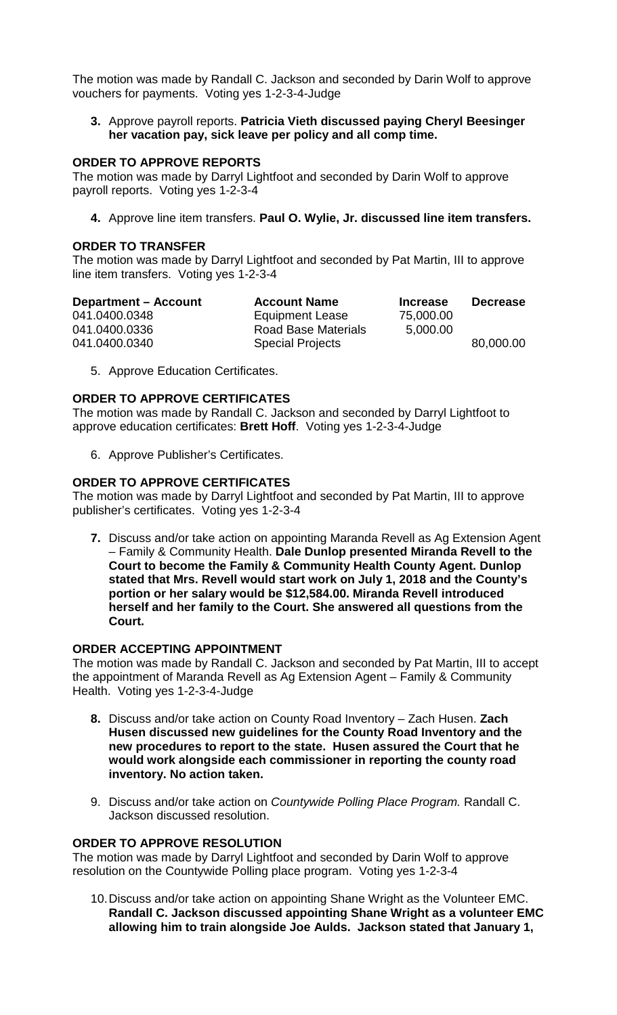The motion was made by Randall C. Jackson and seconded by Darin Wolf to approve vouchers for payments. Voting yes 1-2-3-4-Judge

**3.** Approve payroll reports. **Patricia Vieth discussed paying Cheryl Beesinger her vacation pay, sick leave per policy and all comp time.**

### **ORDER TO APPROVE REPORTS**

The motion was made by Darryl Lightfoot and seconded by Darin Wolf to approve payroll reports. Voting yes 1-2-3-4

**4.** Approve line item transfers. **Paul O. Wylie, Jr. discussed line item transfers.**

## **ORDER TO TRANSFER**

The motion was made by Darryl Lightfoot and seconded by Pat Martin, III to approve line item transfers. Voting yes 1-2-3-4

| <b>Department – Account</b> | <b>Account Name</b>     | <b>Increase</b> | <b>Decrease</b> |
|-----------------------------|-------------------------|-----------------|-----------------|
| 041.0400.0348               | <b>Equipment Lease</b>  | 75,000.00       |                 |
| 041.0400.0336               | Road Base Materials     | 5,000.00        |                 |
| 041.0400.0340               | <b>Special Projects</b> |                 | 80,000.00       |

5. Approve Education Certificates.

## **ORDER TO APPROVE CERTIFICATES**

The motion was made by Randall C. Jackson and seconded by Darryl Lightfoot to approve education certificates: **Brett Hoff**. Voting yes 1-2-3-4-Judge

6. Approve Publisher's Certificates.

## **ORDER TO APPROVE CERTIFICATES**

The motion was made by Darryl Lightfoot and seconded by Pat Martin, III to approve publisher's certificates. Voting yes 1-2-3-4

**7.** Discuss and/or take action on appointing Maranda Revell as Ag Extension Agent – Family & Community Health. **Dale Dunlop presented Miranda Revell to the Court to become the Family & Community Health County Agent. Dunlop stated that Mrs. Revell would start work on July 1, 2018 and the County's portion or her salary would be \$12,584.00. Miranda Revell introduced herself and her family to the Court. She answered all questions from the Court.**

### **ORDER ACCEPTING APPOINTMENT**

The motion was made by Randall C. Jackson and seconded by Pat Martin, III to accept the appointment of Maranda Revell as Ag Extension Agent – Family & Community Health. Voting yes 1-2-3-4-Judge

- **8.** Discuss and/or take action on County Road Inventory Zach Husen. **Zach Husen discussed new guidelines for the County Road Inventory and the new procedures to report to the state. Husen assured the Court that he would work alongside each commissioner in reporting the county road inventory. No action taken.**
- 9. Discuss and/or take action on *Countywide Polling Place Program.* Randall C. Jackson discussed resolution.

## **ORDER TO APPROVE RESOLUTION**

The motion was made by Darryl Lightfoot and seconded by Darin Wolf to approve resolution on the Countywide Polling place program. Voting yes 1-2-3-4

10.Discuss and/or take action on appointing Shane Wright as the Volunteer EMC. **Randall C. Jackson discussed appointing Shane Wright as a volunteer EMC allowing him to train alongside Joe Aulds. Jackson stated that January 1,**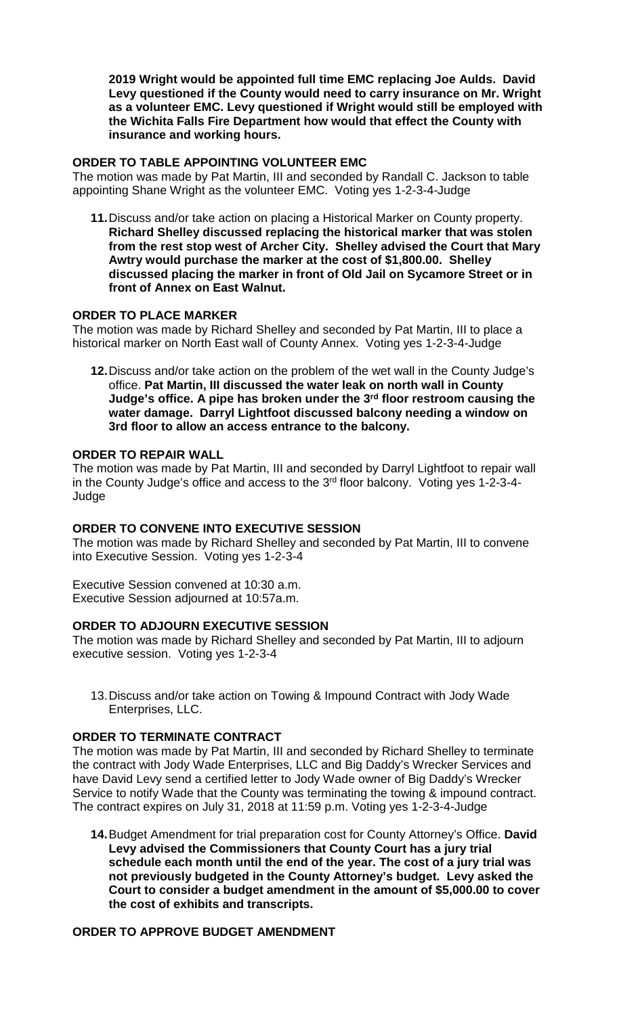**2019 Wright would be appointed full time EMC replacing Joe Aulds. David Levy questioned if the County would need to carry insurance on Mr. Wright as a volunteer EMC. Levy questioned if Wright would still be employed with the Wichita Falls Fire Department how would that effect the County with insurance and working hours.**

### **ORDER TO TABLE APPOINTING VOLUNTEER EMC**

The motion was made by Pat Martin, III and seconded by Randall C. Jackson to table appointing Shane Wright as the volunteer EMC. Voting yes 1-2-3-4-Judge

**11.**Discuss and/or take action on placing a Historical Marker on County property. **Richard Shelley discussed replacing the historical marker that was stolen from the rest stop west of Archer City. Shelley advised the Court that Mary Awtry would purchase the marker at the cost of \$1,800.00. Shelley discussed placing the marker in front of Old Jail on Sycamore Street or in front of Annex on East Walnut.**

## **ORDER TO PLACE MARKER**

The motion was made by Richard Shelley and seconded by Pat Martin, III to place a historical marker on North East wall of County Annex. Voting yes 1-2-3-4-Judge

**12.**Discuss and/or take action on the problem of the wet wall in the County Judge's office. **Pat Martin, III discussed the water leak on north wall in County Judge's office. A pipe has broken under the 3rd floor restroom causing the water damage. Darryl Lightfoot discussed balcony needing a window on 3rd floor to allow an access entrance to the balcony.**

### **ORDER TO REPAIR WALL**

The motion was made by Pat Martin, III and seconded by Darryl Lightfoot to repair wall in the County Judge's office and access to the 3rd floor balcony. Voting yes 1-2-3-4- Judge

### **ORDER TO CONVENE INTO EXECUTIVE SESSION**

The motion was made by Richard Shelley and seconded by Pat Martin, III to convene into Executive Session. Voting yes 1-2-3-4

Executive Session convened at 10:30 a.m. Executive Session adjourned at 10:57a.m.

### **ORDER TO ADJOURN EXECUTIVE SESSION**

The motion was made by Richard Shelley and seconded by Pat Martin, III to adjourn executive session. Voting yes 1-2-3-4

13.Discuss and/or take action on Towing & Impound Contract with Jody Wade Enterprises, LLC.

# **ORDER TO TERMINATE CONTRACT**

The motion was made by Pat Martin, III and seconded by Richard Shelley to terminate the contract with Jody Wade Enterprises, LLC and Big Daddy's Wrecker Services and have David Levy send a certified letter to Jody Wade owner of Big Daddy's Wrecker Service to notify Wade that the County was terminating the towing & impound contract. The contract expires on July 31, 2018 at 11:59 p.m. Voting yes 1-2-3-4-Judge

**14.**Budget Amendment for trial preparation cost for County Attorney's Office. **David Levy advised the Commissioners that County Court has a jury trial schedule each month until the end of the year. The cost of a jury trial was not previously budgeted in the County Attorney's budget. Levy asked the Court to consider a budget amendment in the amount of \$5,000.00 to cover the cost of exhibits and transcripts.**

# **ORDER TO APPROVE BUDGET AMENDMENT**